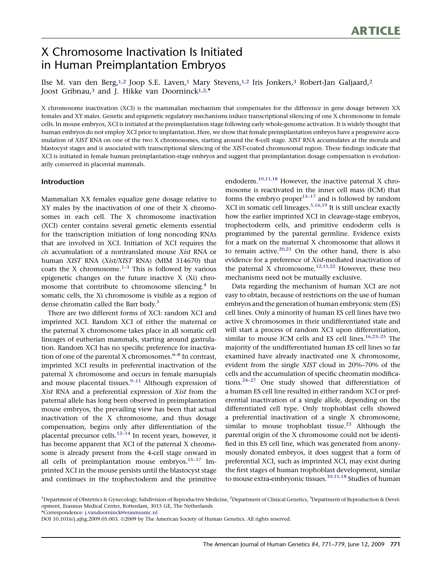# X Chromosome Inactivation Is Initiated in Human Preimplantation Embryos

Ilse M. van den Berg,1,2 Joop S.E. Laven,1 Mary Stevens,1,2 Iris Jonkers,3 Robert-Jan Galjaard,2 Joost Gribnau,<sup>3</sup> and J. Hikke van Doorninck<sup>1,2,\*</sup>

X chromosome inactivation (XCI) is the mammalian mechanism that compensates for the difference in gene dosage between XX females and XY males. Genetic and epigenetic regulatory mechanisms induce transcriptional silencing of one X chromosome in female cells. In mouse embryos, XCI is initiated at the preimplantation stage following early whole-genome activation. It is widely thought that human embryos do not employ XCI prior to implantation. Here, we show that female preimplantation embryos have a progressive accumulation of XIST RNA on one of the two X chromosomes, starting around the 8-cell stage. XIST RNA accumulates at the morula and blastocyst stages and is associated with transcriptional silencing of the XIST-coated chromosomal region. These findings indicate that XCI is initiated in female human preimplantation-stage embryos and suggest that preimplantation dosage compensation is evolutionarily conserved in placental mammals.

# Introduction

Mammalian XX females equalize gene dosage relative to XY males by the inactivation of one of their X chromosomes in each cell. The X chromosome inactivation (XCI) center contains several genetic elements essential for the transcription initiation of long noncoding RNAs that are involved in XCI. Initiation of XCI requires the cis accumulation of a nontranslated mouse Xist RNA or human XIST RNA (Xist/XIST RNA) (MIM 314670) that coats the X chromosome. $1-3$  This is followed by various epigenetic changes on the future inactive X (Xi) chro-mosome that contribute to chromosome silencing.<sup>[4](#page-6-0)</sup> In somatic cells, the Xi chromosome is visible as a region of dense chromatin called the Barr body.<sup>[5](#page-6-0)</sup>

There are two different forms of XCI: random XCI and imprinted XCI. Random XCI of either the maternal or the paternal X chromosome takes place in all somatic cell lineages of eutherian mammals, starting around gastrulation. Random XCI has no specific preference for inactivation of one of the parental X chromosomes. $6-8$  In contrast, imprinted XCI results in preferential inactivation of the paternal X chromosome and occurs in female marsupials and mouse placental tissues. $9-11$  Although expression of Xist RNA and a preferential expression of Xist from the paternal allele has long been observed in preimplantation mouse embryos, the prevailing view has been that actual inactivation of the X chromosome, and thus dosage compensation, begins only after differentiation of the placental precursor cells.[12–14](#page-6-0) In recent years, however, it has become apparent that XCI of the paternal X chromosome is already present from the 4-cell stage onward in all cells of preimplantation mouse embryos.<sup>15-17</sup> Imprinted XCI in the mouse persists until the blastocyst stage and continues in the trophectoderm and the primitive

endoderm.<sup>10,11,18</sup> However, the inactive paternal X chromosome is reactivated in the inner cell mass (ICM) that forms the embryo  $proper^{15-17}$  and is followed by random XCI in somatic cell lineages.  $5,16,19$  It is still unclear exactly how the earlier imprinted XCI in cleavage-stage embryos, trophectoderm cells, and primitive endoderm cells is programmed by the parental germline. Evidence exists for a mark on the maternal X chromosome that allows it to remain active. $20,21$  On the other hand, there is also evidence for a preference of Xist-mediated inactivation of the paternal X chromosome.<sup>[12,15,22](#page-6-0)</sup> However, these two mechanisms need not be mutually exclusive.

Data regarding the mechanism of human XCI are not easy to obtain, because of restrictions on the use of human embryos and the generation of human embryonic stem (ES) cell lines. Only a minority of human ES cell lines have two active X chromosomes in their undifferentiated state and will start a process of random XCI upon differentiation, similar to mouse ICM cells and ES cell lines.<sup>16,23-25</sup> The majority of the undifferentiated human ES cell lines so far examined have already inactivated one X chromosome, evident from the single XIST cloud in 20%–70% of the cells and the accumulation of specific chromatin modifications. $24-27$  One study showed that differentiation of a human ES cell line resulted in either random XCI or preferential inactivation of a single allele, depending on the differentiated cell type. Only trophoblast cells showed a preferential inactivation of a single X chromosome, similar to mouse trophoblast tissue.<sup>[23](#page-6-0)</sup> Although the parental origin of the X chromosome could not be identified in this ES cell line, which was generated from anonymously donated embryos, it does suggest that a form of preferential XCI, such as imprinted XCI, may exist during the first stages of human trophoblast development, similar to mouse extra-embryonic tissues.<sup>[10,11,18](#page-6-0)</sup> Studies of human

\*Correspondence: [j.vandoorninck@erasmusmc.nl](mailto:j.vandoorninck@erasmusmc.nl)

<sup>&</sup>lt;sup>1</sup>Department of Obstetrics & Gynecology, Subdivision of Reproductive Medicine, <sup>2</sup>Department of Clinical Genetics, <sup>3</sup>Department of Reproduction & Development, Erasmus Medical Center, Rotterdam, 3015 GE, The Netherlands

DOI 10.1016/j.ajhg.2009.05.003. @2009 by The American Society of Human Genetics. All rights reserved.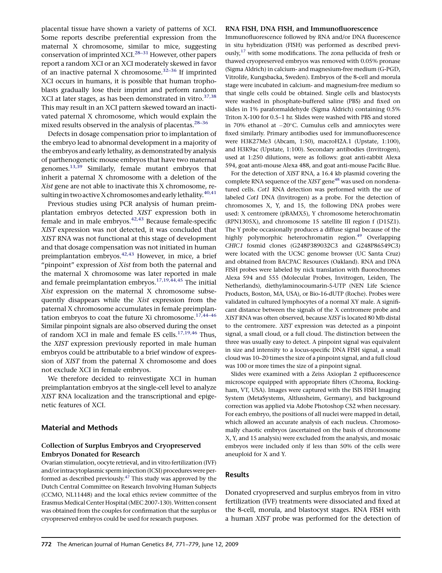placental tissue have shown a variety of patterns of XCI. Some reports describe preferential expression from the maternal X chromosome, similar to mice, suggesting conservation of imprinted XCI.[28–31](#page-7-0) However, other papers report a random XCI or an XCI moderately skewed in favor of an inactive paternal X chromosome.<sup>[32–36](#page-7-0)</sup> If imprinted XCI occurs in humans, it is possible that human trophoblasts gradually lose their imprint and perform random XCI at later stages, as has been demonstrated in vitro.<sup>[37,38](#page-7-0)</sup> This may result in an XCI pattern skewed toward an inactivated paternal X chromosome, which would explain the mixed results observed in the analysis of placentas.<sup>[28–36](#page-7-0)</sup>

Defects in dosage compensation prior to implantation of the embryo lead to abnormal development in a majority of the embryos and early lethality, as demonstrated by analysis of parthenogenetic mouse embryos that have two maternal genomes[.13,39](#page-6-0) Similarly, female mutant embryos that inherit a paternal X chromosome with a deletion of the Xist gene are not able to inactivate this X chromosome, resulting in two active X chromosomes and early lethality.  $40,41$ 

Previous studies using PCR analysis of human preimplantation embryos detected XIST expression both in  $f$ emale and in male embryos.<sup>[42,43](#page-7-0)</sup> Because female-specific XIST expression was not detected, it was concluded that XIST RNA was not functional at this stage of development and that dosage compensation was not initiated in human preimplantation embryos.<sup>[42,43](#page-7-0)</sup> However, in mice, a brief "pinpoint" expression of Xist from both the paternal and the maternal X chromosome was later reported in male and female preimplantation embryos.<sup>[17,19,44,45](#page-6-0)</sup> The initial Xist expression on the maternal X chromosome subsequently disappears while the Xist expression from the paternal X chromosome accumulates in female preimplantation embryos to coat the future Xi chromosome.<sup>17,44-46</sup> Similar pinpoint signals are also observed during the onset of random XCI in male and female ES cells.<sup>17,19,46</sup> Thus, the XIST expression previously reported in male human embryos could be attributable to a brief window of expression of XIST from the paternal X chromosome and does not exclude XCI in female embryos.

We therefore decided to reinvestigate XCI in human preimplantation embryos at the single-cell level to analyze XIST RNA localization and the transcriptional and epigenetic features of XCI.

# Material and Methods

# Collection of Surplus Embryos and Cryopreserved Embryos Donated for Research

Ovarian stimulation, oocyte retrieval, and in vitro fertilization (IVF) and/or intracytoplasmic sperm injection (ICSI) procedures were performed as described previously. $47$  This study was approved by the Dutch Central Committee on Research Involving Human Subjects (CCMO, NL11448) and the local ethics review committee of the Erasmus Medical Center Hospital (MEC 2007-130).Written consent was obtained from the couples for confirmation that the surplus or cryopreserved embryos could be used for research purposes.

## RNA FISH, DNA FISH, and Immunofluorescence

Immunofluorescence followed by RNA and/or DNA fluorescence in situ hybridization (FISH) was performed as described previ-ously,<sup>[17](#page-6-0)</sup> with some modifications. The zona pellucida of fresh or thawed cryopreserved embryos was removed with 0.05% pronase (Sigma Aldrich) in calcium- and magnesium-free medium (G-PGD, Vitrolife, Kungsbacka, Sweden). Embryos of the 8-cell and morula stage were incubated in calcium- and magnesium-free medium so that single cells could be obtained. Single cells and blastocysts were washed in phosphate-buffered saline (PBS) and fixed on slides in 1% paraformaldehyde (Sigma Aldrich) containing 0.5% Triton X-100 for 0.5–1 hr. Slides were washed with PBS and stored in 70% ethanol at -20°C. Cumulus cells and amniocytes were fixed similarly. Primary antibodies used for immunofluorescence were H3K27Me3 (Abcam, 1:50), macroH2A.1 (Upstate, 1:100), and H3K9ac (Upstate, 1:100). Secondary antibodies (Invitrogen), used at 1:250 dilutions, were as follows: goat anti-rabbit Alexa 594, goat anti-mouse Alexa 488, and goat anti-mouse Pacific Blue.

For the detection of XIST RNA, a 16.4 kb plasmid covering the complete RNA sequence of the  $XIST$  gene<sup>[48](#page-7-0)</sup> was used on nondenatured cells. Cot1 RNA detection was performed with the use of labeled Cot1 DNA (Invitrogen) as a probe. For the detection of chromosomes X, Y, and 15, the following DNA probes were used: X centromere (pBAMX5), Y chromosome heterochromatin (RPN1305X), and chromosome 15 satellite III region f (D15Z1). The Y probe occasionally produces a diffuse signal because of the highly polymorphic heterochromatin region.<sup>49</sup> Overlapping CHIC1 fosmid clones (G248P389032C3 and G248P86549C3) were located with the UCSC genome browser (UC Santa Cruz) and obtained from BACPAC Resources (Oakland). RNA and DNA FISH probes were labeled by nick translation with fluorochromes Alexa 594 and 555 (Molecular Probes, Invitrogen, Leiden, The Netherlands), diethylaminocoumarin-5-UTP (NEN Life Science Products, Boston, MA, USA), or Bio-16-dUTP (Roche). Probes were validated in cultured lymphocytes of a normal XY male. A significant distance between the signals of the X centromere probe and XIST RNA was often observed, because XIST is located 80 Mb distal to the centromere. XIST expression was detected as a pinpoint signal, a small cloud, or a full cloud. The distinction between the three was usually easy to detect. A pinpoint signal was equivalent in size and intensity to a locus-specific DNA FISH signal, a small cloud was 10–20 times the size of a pinpoint signal, and a full cloud was 100 or more times the size of a pinpoint signal.

Slides were examined with a Zeiss Axioplan 2 epifluorescence microscope equipped with appropriate filters (Chroma, Rockingham, VT, USA). Images were captured with the ISIS FISH Imaging System (MetaSystems, Altlussheim, Germany), and background correction was applied via Adobe Photoshop CS2 when necessary. For each embryo, the positions of all nuclei were mapped in detail, which allowed an accurate analysis of each nucleus. Chromosomally chaotic embryos (ascertained on the basis of chromosome X, Y, and 15 analysis) were excluded from the analysis, and mosaic embryos were included only if less than 50% of the cells were aneuploid for X and Y.

# Results

Donated cryopreserved and surplus embryos from in vitro fertilization (IVF) treatments were dissociated and fixed at the 8-cell, morula, and blastocyst stages. RNA FISH with a human XIST probe was performed for the detection of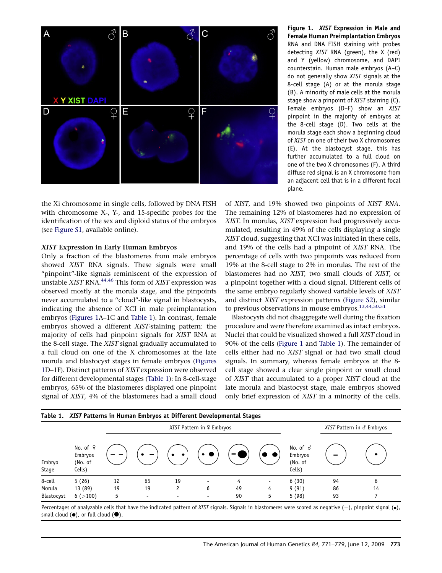<span id="page-2-0"></span>

the Xi chromosome in single cells, followed by DNA FISH with chromosome X-, Y-, and 15-specific probes for the identification of the sex and diploid status of the embryos (see [Figure S1](#page-6-0), available online).

#### XIST Expression in Early Human Embryos

Only a fraction of the blastomeres from male embryos showed XIST RNA signals. These signals were small "pinpoint"-like signals reminiscent of the expression of unstable XIST RNA.<sup>[44,46](#page-7-0)</sup> This form of XIST expression was observed mostly at the morula stage, and the pinpoints never accumulated to a ''cloud''-like signal in blastocysts, indicating the absence of XCI in male preimplantation embryos (Figures 1A–1C and Table 1). In contrast, female embryos showed a different XIST-staining pattern: the majority of cells had pinpoint signals for XIST RNA at the 8-cell stage. The XIST signal gradually accumulated to a full cloud on one of the X chromosomes at the late morula and blastocyst stages in female embryos (Figures 1D–1F). Distinct patterns of XISTexpression were observed for different developmental stages (Table 1): In 8-cell-stage embryos, 65% of the blastomeres displayed one pinpoint signal of XIST, 4% of the blastomeres had a small cloud

Figure 1. XIST Expression in Male and Female Human Preimplantation Embryos RNA and DNA FISH staining with probes detecting XIST RNA (green), the X (red) and Y (yellow) chromosome, and DAPI counterstain. Human male embryos (A–C) do not generally show XIST signals at the 8-cell stage (A) or at the morula stage (B). A minority of male cells at the morula stage show a pinpoint of XIST staining (C). Female embryos (D–F) show an XIST pinpoint in the majority of embryos at the 8-cell stage (D). Two cells at the morula stage each show a beginning cloud of XIST on one of their two X chromosomes (E). At the blastocyst stage, this has further accumulated to a full cloud on one of the two X chromosomes (F). A third diffuse red signal is an X chromosome from an adjacent cell that is in a different focal plane.

of XIST, and 19% showed two pinpoints of XIST RNA. The remaining 12% of blastomeres had no expression of XIST. In morulas, XIST expression had progressively accumulated, resulting in 49% of the cells displaying a single XISTcloud, suggesting that XCI was initiated in these cells, and 19% of the cells had a pinpoint of XIST RNA. The percentage of cells with two pinpoints was reduced from 19% at the 8-cell stage to 2% in morulas. The rest of the blastomeres had no XIST, two small clouds of XIST, or a pinpoint together with a cloud signal. Different cells of the same embryo regularly showed variable levels of XIST and distinct XIST expression patterns [\(Figure S2](#page-6-0)), similar to previous observations in mouse embryos.<sup>13,44,50,51</sup>

Blastocysts did not disaggregate well during the fixation procedure and were therefore examined as intact embryos. Nuclei that could be visualized showed a full XIST cloud in 90% of the cells (Figure 1 and Table 1). The remainder of cells either had no XIST signal or had two small cloud signals. In summary, whereas female embryos at the 8 cell stage showed a clear single pinpoint or small cloud of XIST that accumulated to a proper XIST cloud at the late morula and blastocyst stage, male embryos showed only brief expression of XIST in a minority of the cells.

|                 | Table 1. XIST Patterns in Human Embryos at Different Developmental Stages |                           |                          |                          |   |    |                          |                                                 |                           |           |
|-----------------|---------------------------------------------------------------------------|---------------------------|--------------------------|--------------------------|---|----|--------------------------|-------------------------------------------------|---------------------------|-----------|
|                 | No. of $9$<br>Embryos<br>(No. of<br>Cells)                                | XIST Pattern in º Embryos |                          |                          |   |    |                          |                                                 | XIST Pattern in ♂ Embryos |           |
| Embryo<br>Stage |                                                                           |                           |                          | $\bullet$<br>$\bullet$   |   |    |                          | No. of $\delta$<br>Embryos<br>(No. of<br>Cells) |                           | $\bullet$ |
| 8-cell          | 5(26)                                                                     | 12                        | 65                       | 19                       |   |    | $\overline{\phantom{a}}$ | 6(30)                                           | 94                        | 6         |
| Morula          | 13 (89)                                                                   | 19                        | 19                       | 2                        | 6 | 49 | 4                        | 9(91)                                           | 86                        | 14        |
| Blastocyst      | 6 (>100)                                                                  | 5                         | $\overline{\phantom{0}}$ | $\overline{\phantom{0}}$ |   | 90 | 5                        | 5(98)                                           | 93                        |           |

Percentages of analyzable cells that have the indicated pattern of XIST signals. Signals in blastomeres were scored as negative (—), pinpoint signal (•), small cloud  $(\bullet)$ , or full cloud  $(\bullet)$ .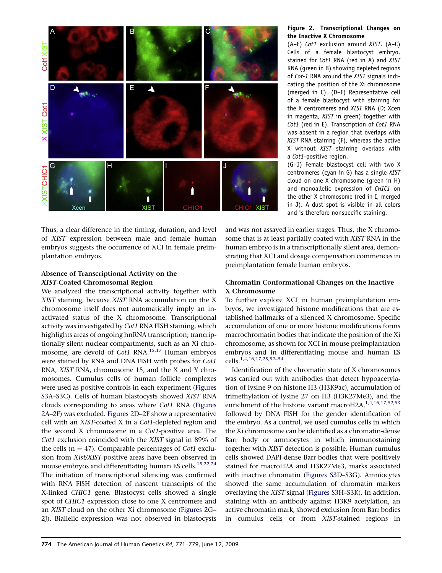<span id="page-3-0"></span>

Thus, a clear difference in the timing, duration, and level of XIST expression between male and female human embryos suggests the occurrence of XCI in female preimplantation embryos.

# Absence of Transcriptional Activity on the XIST-Coated Chromosomal Region

We analyzed the transcriptional activity together with XIST staining, because XIST RNA accumulation on the X chromosome itself does not automatically imply an inactivated status of the X chromosome. Transcriptional activity was investigated by Cot1 RNA FISH staining, which highlights areas of ongoing hnRNA transcription; trancriptionally silent nuclear compartments, such as an Xi chro-mosome, are devoid of Cot1 RNA.<sup>[15,17](#page-6-0)</sup> Human embryos were stained by RNA and DNA FISH with probes for Cot1 RNA, XIST RNA, chromosome 15, and the X and Y chromosomes. Cumulus cells of human follicle complexes were used as positive controls in each experiment (Figures S3A–S3C). Cells of human blastocysts showed XIST RNA clouds corresponding to areas where Cot1 RNA (Figures 2A–2F) was excluded. Figures 2D–2F show a representative cell with an XIST-coated X in a Cot1-depleted region and the second X chromosome in a Cot1-positive area. The Cot1 exclusion coincided with the XIST signal in 89% of the cells ( $n = 47$ ). Comparable percentages of *Cot1* exclusion from Xist/XIST-positive areas have been observed in mouse embryos and differentiating human ES cells.<sup>[15,22,24](#page-6-0)</sup> The initiation of transcriptional silencing was confirmed with RNA FISH detection of nascent transcripts of the X-linked CHIC1 gene. Blastocyst cells showed a single spot of CHIC1 expression close to one X centromere and an XIST cloud on the other Xi chromosome (Figures 2G– 2J). Biallelic expression was not observed in blastocysts

## Figure 2. Transcriptional Changes on the Inactive X Chromosome

(A–F) Cot1 exclusion around XIST. (A–C) Cells of a female blastocyst embryo, stained for Cot1 RNA (red in A) and XIST RNA (green in B) showing depleted regions of Cot-1 RNA around the XIST signals indicating the position of the Xi chromosome (merged in C). (D–F) Representative cell of a female blastocyst with staining for the X centromeres and XIST RNA (D; Xcen in magenta, XIST in green) together with Cot1 (red in E). Transcription of Cot1 RNA was absent in a region that overlaps with XIST RNA staining (F), whereas the active X without XIST staining overlaps with a Cot1-positive region.

(G–J) Female blastocyst cell with two X centromeres (cyan in G) has a single XIST cloud on one X chromosome (green in H) and monoallelic expression of CHIC1 on the other X chromosome (red in I, merged in J). A dust spot is visible in all colors and is therefore nonspecific staining.

and was not assayed in earlier stages. Thus, the X chromosome that is at least partially coated with XIST RNA in the human embryo is in a transcriptionally silent area, demonstrating that XCI and dosage compensation commences in preimplantation female human embryos.

# Chromatin Conformational Changes on the Inactive X Chromosome

To further explore XCI in human preimplantation embryos, we investigated histone modifications that are established hallmarks of a silenced X chromosome. Specific accumulation of one or more histone modifications forms macrochromatin bodies that indicate the position of the Xi chromosome, as shown for XCI in mouse preimplantation embryos and in differentiating mouse and human ES cells.[1,4,16,17,25,52–54](#page-6-0)

Identification of the chromatin state of X chromosomes was carried out with antibodies that detect hypoacetylation of lysine 9 on histone H3 (H3K9ac), accumulation of trimethylation of lysine 27 on H3 (H3K27Me3), and the enrichment of the histone variant macroH2A, $1,4,16,17,52,53$ followed by DNA FISH for the gender identification of the embryo. As a control, we used cumulus cells in which the Xi chromosome can be identified as a chromatin-dense Barr body or amniocytes in which immunostaining together with XIST detection is possible. Human cumulus cells showed DAPI-dense Barr bodies that were positively stained for macroH2A and H3K27Me3, marks associated with inactive chromatin ([Figures S3](#page-6-0)D–S3G). Amniocytes showed the same accumulation of chromatin markers overlaying the XIST signal [\(Figures S3](#page-6-0)H–S3K). In addition, staining with an antibody against H3K9 acetylation, an active chromatin mark, showed exclusion from Barr bodies in cumulus cells or from XIST-stained regions in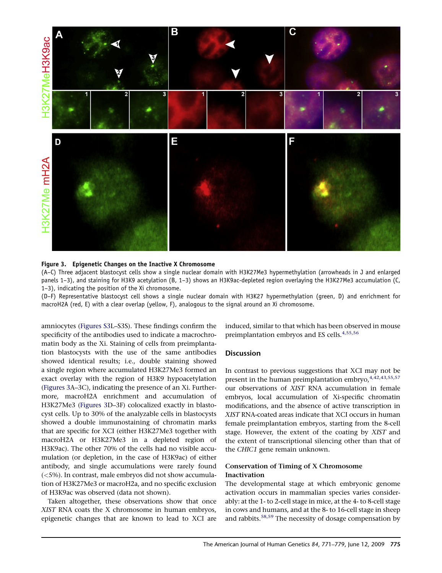

#### Figure 3. Epigenetic Changes on the Inactive X Chromosome

(A–C) Three adjacent blastocyst cells show a single nuclear domain with H3K27Me3 hypermethylation (arrowheads in J and enlarged panels 1–3), and staining for H3K9 acetylation (B, 1–3) shows an H3K9ac-depleted region overlaying the H3K27Me3 accumulation (C, 1–3), indicating the position of the Xi chromosome.

(D–F) Representative blastocyst cell shows a single nuclear domain with H3K27 hypermethylation (green, D) and enrichment for macroH2A (red, E) with a clear overlap (yellow, F), analogous to the signal around an Xi chromosome.

amniocytes ([Figures S3L](#page-6-0)–S3S). These findings confirm the specificity of the antibodies used to indicate a macrochromatin body as the Xi. Staining of cells from preimplantation blastocysts with the use of the same antibodies showed identical results; i.e., double staining showed a single region where accumulated H3K27Me3 formed an exact overlay with the region of H3K9 hypoacetylation (Figures 3A–3C), indicating the presence of an Xi. Furthermore, macroH2A enrichment and accumulation of H3K27Me3 (Figures 3D–3F) colocalized exactly in blastocyst cells. Up to 30% of the analyzable cells in blastocysts showed a double immunostaining of chromatin marks that are specific for XCI (either H3K27Me3 together with macroH2A or H3K27Me3 in a depleted region of H3K9ac). The other 70% of the cells had no visible accumulation (or depletion, in the case of H3K9ac) of either antibody, and single accumulations were rarely found (<5%). In contrast, male embryos did not show accumulation of H3K27Me3 or macroH2a, and no specific exclusion of H3K9ac was observed (data not shown).

Taken altogether, these observations show that once XIST RNA coats the X chromosome in human embryos, epigenetic changes that are known to lead to XCI are

induced, similar to that which has been observed in mouse preimplantation embryos and ES cells.<sup>[4,55,56](#page-6-0)</sup>

## **Discussion**

In contrast to previous suggestions that XCI may not be present in the human preimplantation embryo, [4,42,43,55,57](#page-6-0) our observations of XIST RNA accumulation in female embryos, local accumulation of Xi-specific chromatin modifications, and the absence of active transcription in XIST RNA-coated areas indicate that XCI occurs in human female preimplantation embryos, starting from the 8-cell stage. However, the extent of the coating by XIST and the extent of transcriptional silencing other than that of the CHIC1 gene remain unknown.

# Conservation of Timing of X Chromosome Inactivation

The developmental stage at which embryonic genome activation occurs in mammalian species varies considerably: at the 1- to 2-cell stage in mice, at the 4- to 8-cell stage in cows and humans, and at the 8- to 16-cell stage in sheep and rabbits.[58,59](#page-8-0) The necessity of dosage compensation by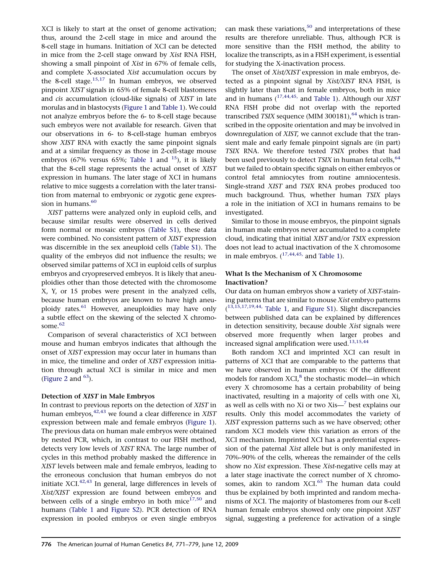XCI is likely to start at the onset of genome activation; thus, around the 2-cell stage in mice and around the 8-cell stage in humans. Initiation of XCI can be detected in mice from the 2-cell stage onward by Xist RNA FISH, showing a small pinpoint of Xist in 67% of female cells, and complete X-associated Xist accumulation occurs by the 8-cell stage.<sup>[15,17](#page-6-0)</sup> In human embryos, we observed pinpoint XIST signals in 65% of female 8-cell blastomeres and cis accumulation (cloud-like signals) of XIST in late morulas and in blastocysts [\(Figure 1](#page-2-0) and [Table 1\)](#page-2-0). We could not analyze embryos before the 6- to 8-cell stage because such embryos were not available for research. Given that our observations in 6- to 8-cell-stage human embryos show XIST RNA with exactly the same pinpoint signals and at a similar frequency as those in 2-cell-stage mouse embryos (67% versus 65%; [Table 1](#page-2-0) and  $^{15}$ ), it is likely that the 8-cell stage represents the actual onset of XIST expression in humans. The later stage of XCI in humans relative to mice suggests a correlation with the later transition from maternal to embryonic or zygotic gene expres-sion in humans.<sup>[60](#page-8-0)</sup>

XIST patterns were analyzed only in euploid cells, and because similar results were observed in cells derived form normal or mosaic embryos ([Table S1](#page-6-0)), these data were combined. No consistent pattern of XIST expression was discernible in the sex aneuploid cells ([Table S1\)](#page-6-0). The quality of the embryos did not influence the results; we observed similar patterns of XCI in euploid cells of surplus embryos and cryopreserved embryos. It is likely that aneuploidies other than those detected with the chromosome X, Y, or 15 probes were present in the analyzed cells, because human embryos are known to have high aneu-ploidy rates.<sup>[61](#page-8-0)</sup> However, aneuploidies may have only a subtle effect on the skewing of the selected X chromo-some.<sup>[62](#page-8-0)</sup>

Comparison of several characteristics of XCI between mouse and human embryos indicates that although the onset of XIST expression may occur later in humans than in mice, the timeline and order of XIST expression initiation through actual XCI is similar in mice and men ([Figure 2](#page-3-0) and  $63$ ).

# Detection of XIST in Male Embryos

In contrast to previous reports on the detection of XIST in human embryos, $42,43$  we found a clear difference in XIST expression between male and female embryos [\(Figure 1\)](#page-2-0). The previous data on human male embryos were obtained by nested PCR, which, in contrast to our FISH method, detects very low levels of XIST RNA. The large number of cycles in this method probably masked the difference in XIST levels between male and female embryos, leading to the erroneous conclusion that human embryos do not initiate  $XCI^{42,43}$  In general, large differences in levels of Xist/XIST expression are found between embryos and between cells of a single embryo in both mice $17,50$  and humans [\(Table 1](#page-2-0) and [Figure S2\)](#page-6-0). PCR detection of RNA expression in pooled embryos or even single embryos

can mask these variations, $50$  and interpretations of these results are therefore unreliable. Thus, although PCR is more sensitive than the FISH method, the ability to localize the transcripts, as in a FISH experiment, is essential for studying the X-inactivation process.

The onset of Xist/XIST expression in male embryos, detected as a pinpoint signal by Xist/XIST RNA FISH, is slightly later than that in female embryos, both in mice and in humans  $(17, 44, 45, 41)$  and [Table 1\)](#page-2-0). Although our *XIST* RNA FISH probe did not overlap with the reported transcribed TSIX sequence (MIM 300181),  $^{64}$  $^{64}$  $^{64}$  which is transcribed in the opposite orientation and may be involved in downregulation of XIST, we cannot exclude that the transient male and early female pinpoint signals are (in part) TSIX RNA. We therefore tested TSIX probes that had been used previously to detect TSIX in human fetal cells, <sup>[64](#page-8-0)</sup> but we failed to obtain specific signals on either embryos or control fetal amniocytes from routine amniocentesis. Single-strand XIST and TSIX RNA probes produced too much background. Thus, whether human TSIX plays a role in the initiation of XCI in humans remains to be investigated.

Similar to those in mouse embryos, the pinpoint signals in human male embryos never accumulated to a complete cloud, indicating that initial XIST and/or TSIX expression does not lead to actual inactivation of the X chromosome in male embryos.  $(^{17,44,45)}$  and [Table 1](#page-2-0)).

# What Is the Mechanism of X Chromosome Inactivation?

Our data on human embryos show a variety of XIST-staining patterns that are similar to mouse Xist embryo patterns (<sup>[13,15,17,19,44,](#page-6-0)</sup> [Table 1](#page-2-0), and [Figure S1\)](#page-6-0). Slight discrepancies between published data can be explained by differences in detection sensitivity, because double Xist signals were observed more frequently when larger probes and increased signal amplification were used.<sup>[13,15,44](#page-6-0)</sup>

Both random XCI and imprinted XCI can result in patterns of XCI that are comparable to the patterns that we have observed in human embryos: Of the different models for random  $XCI<sub>i</sub><sup>8</sup>$  the stochastic model—in which every X chromosome has a certain probability of being inactivated, resulting in a majority of cells with one Xi, as well as cells with no Xi or two  $Xis$ — $^7$  best explains our results. Only this model accommodates the variety of XIST expression patterns such as we have observed; other random XCI models view this variation as errors of the XCI mechanism. Imprinted XCI has a preferential expression of the paternal Xist allele but is only manifested in 70%–90% of the cells, whereas the remainder of the cells show no Xist expression. These Xist-negative cells may at a later stage inactivate the correct number of X chromosomes, akin to random  $XCI$ <sup>[65](#page-8-0)</sup>. The human data could thus be explained by both imprinted and random mechanisms of XCI. The majority of blastomeres from our 8-cell human female embryos showed only one pinpoint XIST signal, suggesting a preference for activation of a single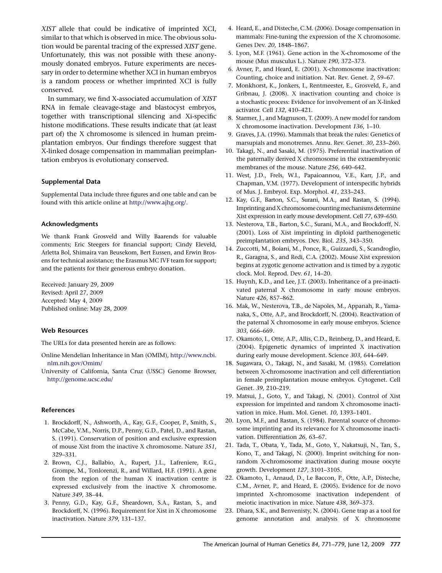<span id="page-6-0"></span>XIST allele that could be indicative of imprinted XCI, similar to that which is observed in mice. The obvious solution would be parental tracing of the expressed XIST gene. Unfortunately, this was not possible with these anonymously donated embryos. Future experiments are necessary in order to determine whether XCI in human embryos is a random process or whether imprinted XCI is fully conserved.

In summary, we find X-associated accumulation of XIST RNA in female cleavage-stage and blastocyst embryos, together with transcriptional silencing and Xi-specific histone modifications. These results indicate that (at least part of) the X chromosome is silenced in human preimplantation embryos. Our findings therefore suggest that X-linked dosage compensation in mammalian preimplantation embryos is evolutionary conserved.

#### Supplemental Data

Supplemental Data include three figures and one table and can be found with this article online at <http://www.ajhg.org/>.

#### Acknowledgments

We thank Frank Grosveld and Willy Baarends for valuable comments; Eric Steegers for financial support; Cindy Eleveld, Arletta Bol, Shimaira van Beusekom, Bert Eussen, and Erwin Brosens for technical assistance; the Erasmus MC IVF team for support; and the patients for their generous embryo donation.

Received: January 29, 2009 Revised: April 27, 2009 Accepted: May 4, 2009 Published online: May 28, 2009

## Web Resources

The URLs for data presented herein are as follows:

- Online Mendelian Inheritance in Man (OMIM), [http://www.ncbi.](http://www.ncbi.nlm.nih.gov/Omim/) [nlm.nih.gov/Omim/](http://www.ncbi.nlm.nih.gov/Omim/)
- University of California, Santa Cruz (USSC) Genome Browser, <http://genome.ucsc.edu/>

#### References

- 1. Brockdorff, N., Ashworth, A., Kay, G.F., Cooper, P., Smith, S., McCabe, V.M., Norris, D.P., Penny, G.D., Patel, D., and Rastan, S. (1991). Conservation of position and exclusive expression of mouse Xist from the inactive X chromosome. Nature 351, 329–331.
- 2. Brown, C.J., Ballabio, A., Rupert, J.L., Lafreniere, R.G., Grompe, M., Tonlorenzi, R., and Willard, H.F. (1991). A gene from the region of the human X inactivation centre is expressed exclusively from the inactive X chromosome. Nature 349, 38–44.
- 3. Penny, G.D., Kay, G.F., Sheardown, S.A., Rastan, S., and Brockdorff, N. (1996). Requirement for Xist in X chromosome inactivation. Nature 379, 131–137.
- 4. Heard, E., and Disteche, C.M. (2006). Dosage compensation in mammals: Fine-tuning the expression of the X chromosome. Genes Dev. 20, 1848–1867.
- 5. Lyon, M.F. (1961). Gene action in the X-chromosome of the mouse (Mus musculus L.). Nature 190, 372–373.
- 6. Avner, P., and Heard, E. (2001). X-chromosome inactivation: Counting, choice and initiation. Nat. Rev. Genet. 2, 59–67.
- 7. Monkhorst, K., Jonkers, I., Rentmeester, E., Grosveld, F., and Gribnau, J. (2008). X inactivation counting and choice is a stochastic process: Evidence for involvement of an X-linked activator. Cell 132, 410–421.
- 8. Starmer, J., and Magnuson, T. (2009). A new model for random X chromosome inactivation. Development 136, 1–10.
- 9. Graves, J.A. (1996). Mammals that break the rules: Genetics of marsupials and monotremes. Annu. Rev. Genet. 30, 233–260.
- 10. Takagi, N., and Sasaki, M. (1975). Preferential inactivation of the paternally derived X chromosome in the extraembryonic membranes of the mouse. Nature 256, 640–642.
- 11. West, J.D., Frels, W.I., Papaioannou, V.E., Karr, J.P., and Chapman, V.M. (1977). Development of interspecific hybrids of Mus. J. Embryol. Exp. Morphol. 41, 233–243.
- 12. Kay, G.F., Barton, S.C., Surani, M.A., and Rastan, S. (1994). Imprinting and X chromosome countingmechanisms determine Xist expression in early mouse development. Cell 77, 639–650.
- 13. Nesterova, T.B., Barton, S.C., Surani, M.A., and Brockdorff, N. (2001). Loss of Xist imprinting in diploid parthenogenetic preimplantation embryos. Dev. Biol. 235, 343–350.
- 14. Zuccotti, M., Boiani, M., Ponce, R., Guizzardi, S., Scandroglio, R., Garagna, S., and Redi, C.A. (2002). Mouse Xist expression begins at zygotic genome activation and is timed by a zygotic clock. Mol. Reprod. Dev. 61, 14–20.
- 15. Huynh, K.D., and Lee, J.T. (2003). Inheritance of a pre-inactivated paternal X chromosome in early mouse embryos. Nature 426, 857–862.
- 16. Mak, W., Nesterova, T.B., de Napoles, M., Appanah, R., Yamanaka, S., Otte, A.P., and Brockdorff, N. (2004). Reactivation of the paternal X chromosome in early mouse embryos. Science 303, 666–669.
- 17. Okamoto, I., Otte, A.P., Allis, C.D., Reinberg, D., and Heard, E. (2004). Epigenetic dynamics of imprinted X inactivation during early mouse development. Science 303, 644–649.
- 18. Sugawara, O., Takagi, N., and Sasaki, M. (1985). Correlation between X-chromosome inactivation and cell differentiation in female preimplantation mouse embryos. Cytogenet. Cell Genet. 39, 210–219.
- 19. Matsui, J., Goto, Y., and Takagi, N. (2001). Control of Xist expression for imprinted and random X chromosome inactivation in mice. Hum. Mol. Genet. 10, 1393–1401.
- 20. Lyon, M.F., and Rastan, S. (1984). Parental source of chromosome imprinting and its relevance for X chromosome inactivation. Differentiation 26, 63–67.
- 21. Tada, T., Obata, Y., Tada, M., Goto, Y., Nakatsuji, N., Tan, S., Kono, T., and Takagi, N. (2000). Imprint switching for nonrandom X-chromosome inactivation during mouse oocyte growth. Development 127, 3101–3105.
- 22. Okamoto, I., Arnaud, D., Le Baccon, P., Otte, A.P., Disteche, C.M., Avner, P., and Heard, E. (2005). Evidence for de novo imprinted X-chromosome inactivation independent of meiotic inactivation in mice. Nature 438, 369–373.
- 23. Dhara, S.K., and Benvenisty, N. (2004). Gene trap as a tool for genome annotation and analysis of X chromosome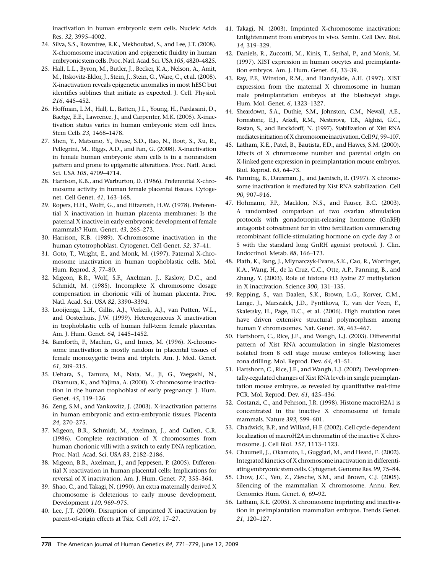<span id="page-7-0"></span>inactivation in human embryonic stem cells. Nucleic Acids Res. 32, 3995–4002.

- 24. Silva, S.S., Rowntree, R.K., Mekhoubad, S., and Lee, J.T. (2008). X-chromosome inactivation and epigenetic fluidity in human embryonic stem cells. Proc. Natl. Acad. Sci. USA105, 4820–4825.
- 25. Hall, L.L., Byron, M., Butler, J., Becker, K.A., Nelson, A., Amit, M., Itskovitz-Eldor, J., Stein, J., Stein, G., Ware, C., et al. (2008). X-inactivation reveals epigenetic anomalies in most hESC but identifies sublines that initiate as expected. J. Cell. Physiol. 216, 445–452.
- 26. Hoffman, L.M., Hall, L., Batten, J.L., Young, H., Pardasani, D., Baetge, E.E., Lawrence, J., and Carpenter, M.K. (2005). X-inactivation status varies in human embryonic stem cell lines. Stem Cells 23, 1468–1478.
- 27. Shen, Y., Matsuno, Y., Fouse, S.D., Rao, N., Root, S., Xu, R., Pellegrini, M., Riggs, A.D., and Fan, G. (2008). X-inactivation in female human embryonic stem cells is in a nonrandom pattern and prone to epigenetic alterations. Proc. Natl. Acad. Sci. USA 105, 4709–4714.
- 28. Harrison, K.B., and Warburton, D. (1986). Preferential X-chromosome activity in human female placental tissues. Cytogenet. Cell Genet. 41, 163–168.
- 29. Ropers, H.H., Wolff, G., and Hitzeroth, H.W. (1978). Preferential X inactivation in human placenta membranes: Is the paternal X inactive in early embryonic development of female mammals? Hum. Genet. 43, 265–273.
- 30. Harrison, K.B. (1989). X-chromosome inactivation in the human cytotrophoblast. Cytogenet. Cell Genet. 52, 37–41.
- 31. Goto, T., Wright, E., and Monk, M. (1997). Paternal X-chromosome inactivation in human trophoblastic cells. Mol. Hum. Reprod. 3, 77–80.
- 32. Migeon, B.R., Wolf, S.F., Axelman, J., Kaslow, D.C., and Schmidt, M. (1985). Incomplete X chromosome dosage compensation in chorionic villi of human placenta. Proc. Natl. Acad. Sci. USA 82, 3390–3394.
- 33. Looijenga, L.H., Gillis, A.J., Verkerk, A.J., van Putten, W.L., and Oosterhuis, J.W. (1999). Heterogeneous X inactivation in trophoblastic cells of human full-term female placentas. Am. J. Hum. Genet. 64, 1445–1452.
- 34. Bamforth, F., Machin, G., and Innes, M. (1996). X-chromosome inactivation is mostly random in placental tissues of female monozygotic twins and triplets. Am. J. Med. Genet. 61, 209–215.
- 35. Uehara, S., Tamura, M., Nata, M., Ji, G., Yaegashi, N., Okamura, K., and Yajima, A. (2000). X-chromosome inactivation in the human trophoblast of early pregnancy. J. Hum. Genet. 45, 119–126.
- 36. Zeng, S.M., and Yankowitz, J. (2003). X-inactivation patterns in human embryonic and extra-embryonic tissues. Placenta 24, 270–275.
- 37. Migeon, B.R., Schmidt, M., Axelman, J., and Cullen, C.R. (1986). Complete reactivation of X chromosomes from human chorionic villi with a switch to early DNA replication. Proc. Natl. Acad. Sci. USA 83, 2182–2186.
- 38. Migeon, B.R., Axelman, J., and Jeppesen, P. (2005). Differential X reactivation in human placental cells: Implications for reversal of X inactivation. Am. J. Hum. Genet. 77, 355–364.
- 39. Shao, C., and Takagi, N. (1990). An extra maternally derived X chromosome is deleterious to early mouse development. Development 110, 969–975.
- 40. Lee, J.T. (2000). Disruption of imprinted X inactivation by parent-of-origin effects at Tsix. Cell 103, 17–27.
- 41. Takagi, N. (2003). Imprinted X-chromosome inactivation: Enlightenment from embryos in vivo. Semin. Cell Dev. Biol. 14, 319–329.
- 42. Daniels, R., Zuccotti, M., Kinis, T., Serhal, P., and Monk, M. (1997). XIST expression in human oocytes and preimplantation embryos. Am. J. Hum. Genet. 61, 33–39.
- 43. Ray, P.F., Winston, R.M., and Handyside, A.H. (1997). XIST expression from the maternal X chromosome in human male preimplantation embryos at the blastocyst stage. Hum. Mol. Genet. 6, 1323–1327.
- 44. Sheardown, S.A., Duthie, S.M., Johnston, C.M., Newall, A.E., Formstone, E.J., Arkell, R.M., Nesterova, T.B., Alghisi, G.C., Rastan, S., and Brockdorff, N. (1997). Stabilization of Xist RNA mediates initiation of X chromosome inactivation. Cell 91, 99-107.
- 45. Latham, K.E., Patel, B., Bautista, F.D., and Hawes, S.M. (2000). Effects of X chromosome number and parental origin on X-linked gene expression in preimplantation mouse embryos. Biol. Reprod. 63, 64–73.
- 46. Panning, B., Dausman, J., and Jaenisch, R. (1997). X chromosome inactivation is mediated by Xist RNA stabilization. Cell 90, 907–916.
- 47. Hohmann, F.P., Macklon, N.S., and Fauser, B.C. (2003). A randomized comparison of two ovarian stimulation protocols with gonadotropin-releasing hormone (GnRH) antagonist cotreatment for in vitro fertilization commencing recombinant follicle-stimulating hormone on cycle day 2 or 5 with the standard long GnRH agonist protocol. J. Clin. Endocrinol. Metab. 88, 166–173.
- 48. Plath, K., Fang, J., Mlynarczyk-Evans, S.K., Cao, R., Worringer, K.A., Wang, H., de la Cruz, C.C., Otte, A.P., Panning, B., and Zhang, Y. (2003). Role of histone H3 lysine 27 methylation in X inactivation. Science 300, 131–135.
- 49. Repping, S., van Daalen, S.K., Brown, L.G., Korver, C.M., Lange, J., Marszalek, J.D., Pyntikova, T., van der Veen, F., Skaletsky, H., Page, D.C., et al. (2006). High mutation rates have driven extensive structural polymorphism among human Y chromosomes. Nat. Genet. 38, 463–467.
- 50. Hartshorn, C., Rice, J.E., and Wangh, L.J. (2003). Differential pattern of Xist RNA accumulation in single blastomeres isolated from 8 cell stage mouse embryos following laser zona drilling. Mol. Reprod. Dev. 64, 41–51.
- 51. Hartshorn, C., Rice, J.E., and Wangh, L.J. (2002). Developmentally-regulated changes of Xist RNA levels in single preimplantation mouse embryos, as revealed by quantitative real-time PCR. Mol. Reprod. Dev. 61, 425–436.
- 52. Costanzi, C., and Pehrson, J.R. (1998). Histone macroH2A1 is concentrated in the inactive X chromosome of female mammals. Nature 393, 599–601.
- 53. Chadwick, B.P., and Willard, H.F. (2002). Cell cycle-dependent localization of macroH2A in chromatin of the inactive X chromosome. J. Cell Biol. 157, 1113–1123.
- 54. Chaumeil, J., Okamoto, I., Guggiari, M., and Heard, E. (2002). Integrated kinetics of X chromosome inactivation in differentiating embryonic stem cells. Cytogenet. Genome Res.99, 75–84.
- 55. Chow, J.C., Yen, Z., Ziesche, S.M., and Brown, C.J. (2005). Silencing of the mammalian X chromosome. Annu. Rev. Genomics Hum. Genet. 6, 69–92.
- 56. Latham, K.E. (2005). X chromosome imprinting and inactivation in preimplantation mammalian embryos. Trends Genet. 21, 120–127.